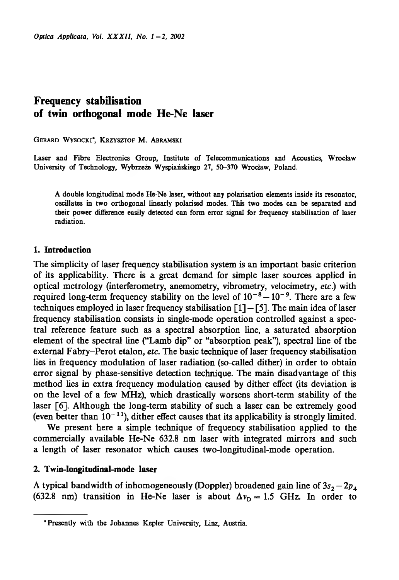# **Frequency stabilisation of twin orthogonal mode He-Ne laser**

GERARD WYSOCKI', KRZYSZTOF M. ABRAMSKI

Laser and Fibre Electronics Group, Institute of Telecommunications and Acoustics, Wrocław University of Technology, Wybrzeże Wyspiańskiego 27, 50-370 Wrocław, Poland.

A double longitudinal mode He-Ne laser, without any polarisation elements inside its resonator, oscillates in two orthogonal linearly polarised modes. This two modes can be separated and their power difference easily detected can form error signal for frequency stabilisation of laser radiation.

# **1. Introduction**

The simplicity of laser frequency stabilisation system is an important basic criterion of its applicability. There is a great demand for simple laser sources applied in optical metrology (interferometry, anemometry, vibrometry, velocimetry, *etc.)* with required long-term frequency stability on the level of  $10^{-8} - 10^{-9}$ . There are a few techniques employed in laser frequency stabilisation  $\lceil 1 \rceil - \lceil 5 \rceil$ . The main idea of laser frequency stabilisation consists in single-mode operation controlled against a spectral reference feature such as a spectral absorption line, a saturated absorption element of the spectral line ("Lamb dip" or "absorption peak"), spectral line of the external Fabry-Perot etalon, *etc.* The basic technique of laser frequency stabilisation lies in frequency modulation of laser radiation (so-called dither) in order to obtain error signal by phase-sensitive detection technique. The main disadvantage of this method lies in extra frequency modulation caused by dither effect (its deviation is on the level of a few MHz), which drastically worsens short-term stability of the laser [6]. Although the long-term stability of such a laser can be extremely good (even better than  $10^{-11}$ ), dither effect causes that its applicability is strongly limited.

We present here a simple technique of frequency stabilisation applied to the commercially available He-Ne 632.8 nm laser with integrated mirrors and such a length of laser resonator which causes two-longitudinal-mode operation.

# **2. Twin-longitudinal-mode laser**

A typical bandwidth of inhomogeneously (Doppler) broadened gain line of  $3s_2 - 2p_4$ (632.8 nm) transition in He-Ne laser is about  $\Delta v_D = 1.5$  GHz. In order to

<sup>&</sup>quot;Presently with the Johannes Kepler University, Linz, Austria.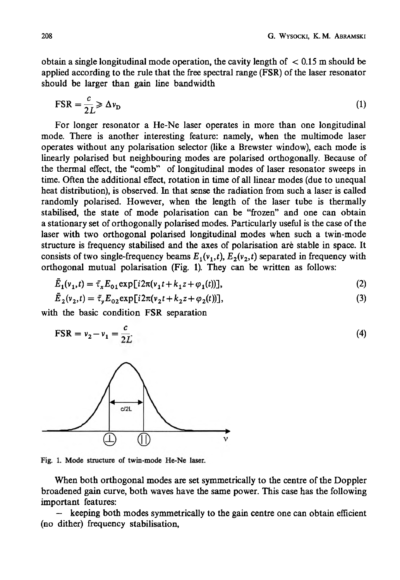obtain a single longitudinal mode operation, the cavity length of  $\leq 0.15$  m should be applied according to the rule that the free spectral range (FSR) of the laser resonator should be larger than gain line bandwidth

$$
\text{FSR} = \frac{c}{2L} \ge \Delta v_{\text{D}} \tag{1}
$$

For longer resonator a He-Ne laser operates in more than one longitudinal mode. There is another interesting feature: namely, when the multimode laser operates without any polarisation selector (like a Brewster window), each mode is linearly polarised but neighbouring modes are polarised orthogonally. Because of the thermal effect, the "comb" of longitudinal modes of laser resonator sweeps in time. Often the additional effect, rotation in time of all linear modes (due to unequal heat distribution), is observed. In that sense the radiation from such a laser is called randomly polarised. However, when the length of the laser tube is thermally stabilised, the state of mode polarisation can be "frozen" and one can obtain a stationary set of orthogonally polarised modes. Particularly useful is the case of the laser with two orthogonal polarised longitudinal modes when such a twin-mode structure is frequency stabilised and the axes of polarisation aré stable in space. It consists of two single-frequency beams  $E_1(v_1,t)$ ,  $E_2(v_2,t)$  separated in frequency with orthogonal mutual polarisation (Fig. 1). They can be written as follows:

$$
\bar{E}_1(v_1, t) = \bar{\tau}_x E_{01} \exp[i2\pi(v_1 t + k_1 z + \varphi_1(t))],
$$
\n(2)

$$
E_2(v_2, t) = \bar{\tau}_y E_{02} \exp[i2\pi(v_2 t + k_2 z + \varphi_2(t))],
$$
\n(3)

with the basic condition FSR separation

$$
\text{FSR} = v_2 - v_1 = \frac{c}{2L} \tag{4}
$$



Fig. 1. Mode structure of twin-mode He-Ne laser.

When both orthogonal modes are set symmetrically to the centre of the Doppler broadened gain curve, both waves have the same power. This case has the following important features:

 $-\epsilon$  keeping both modes symmetrically to the gain centre one can obtain efficient (no dither) frequency stabilisation,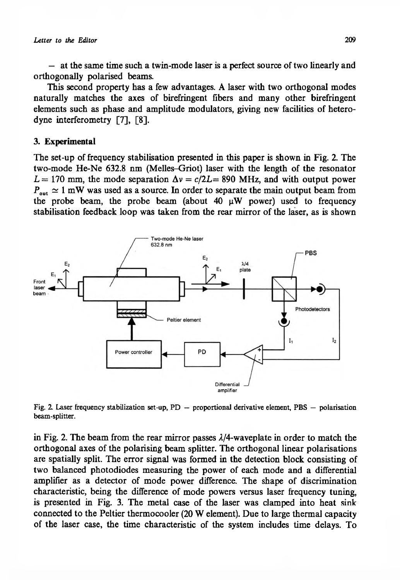— at the same time such a twin-mode laser is a perfect source of two linearly and orthogonally polarised beams.

This second property has a few advantages. A laser with two orthogonal modes naturally matches the axes of birefringent fibers and many other birefringent elements such as phase and amplitude modulators, giving new facilities of heterodyne interferometry [7], [8].

### **3. Experimental**

The set-up of frequency stabilisation presented in this paper is shown in Fig. 2. The two-mode He-Ne 632.8 nm (Melles-Griot) laser with the length of the resonator  $L = 170$  mm, the mode separation  $\Delta v = c/2L = 890$  MHz, and with output power  $P_{\text{out}} \simeq 1 \text{ mW}$  was used as a source. In order to separate the main output beam from the probe beam, the probe beam (about 40  $\mu$ W power) used to frequency stabilisation feedback loop was taken from the rear mirror of the laser, as is shown



Fig. 2. Laser frequency stabilization set-up,  $PD$  — proportional derivative element, PBS — polarisation beam-splitter.

in Fig. 2. The beam from the rear mirror passes 2/4-waveplate in order to match the orthogonal axes of the polarising beam splitter. The orthogonal linear polarisations are spatially split. The error signal was formed in the detection block consisting of two balanced photodiodes measuring the power of each mode and a differential amplifier as a detector of mode power difference. The shape of discrimination characteristic, being the difference of mode powers versus laser frequency tuning, is presented in Fig. 3. The metal case of the laser was clamped into heat sink connected to the Peltier thermocooler (20 W element). Due to large thermal capacity of the laser case, the time characteristic of the system includes time delays. To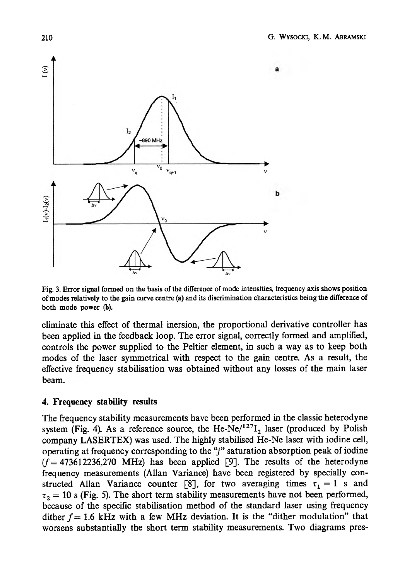

Fig. 3. Error signal formed on the basis of the difference of mode intensities, frequency axis shows position of modes relatively to the gain curve centre **(a)** and its discrimination characteristics being the difference of both mode power (b).

eliminate this effect of thermal inersion, the proportional derivative controller has been applied in the feedback loop. The error signal, correctly formed and amplified, controls the power supplied to the Peltier element, in such a way as to keep both modes of the laser symmetrical with respect to the gain centre. As a result, the effective frequency stabilisation was obtained without any losses of the main laser beam.

# **4. Frequency stability results**

The frequency stability measurements have been performed in the classic heterodyne system (Fig. 4). As a reference source, the He-Ne $/127I_2$  laser (produced by Polish company LASERTEX) was used. The highly stabilised He-Ne laser with iodine cell, operating at frequency corresponding to the "/" saturation absorption peak of iodine  $(f = 473612236,270$  MHz) has been applied [9]. The results of the heterodyne frequency measurements (Allan Variance) have been registered by specially constructed Allan Variance counter [8], for two averaging times  $\tau_1 = 1$  s and  $\tau_2 = 10$  s (Fig. 5). The short term stability measurements have not been performed, because of the specific stabilisation method of the standard laser using frequency dither  $f = 1.6$  kHz with a few MHz deviation. It is the "dither modulation" that worsens substantially the short term stability measurements. Two diagrams pres-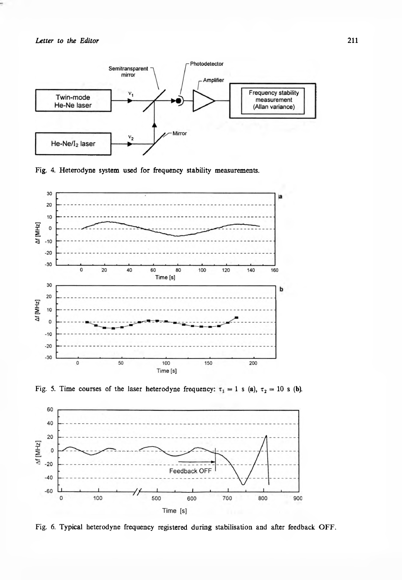

Fig. 4. Heterodyne system used for frequency stability measurements.







Fig. 6. Typical heterodyne frequency registered during stabilisation and after feedback OFF.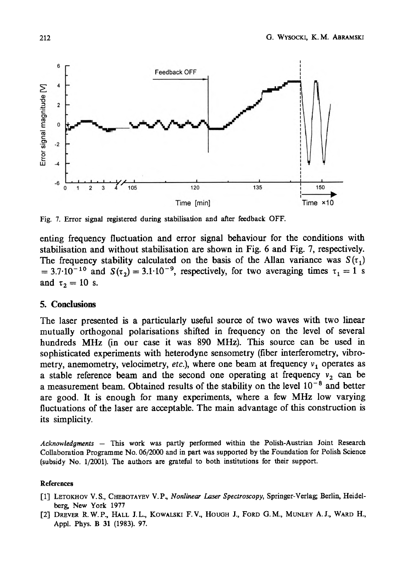

Fig. 7. Error signal registered during stabilisation and after feedback OFF.

enting frequency fluctuation and error signal behaviour for the conditions with stabilisation and without stabilisation are shown in Fig. 6 and Fig. 7, respectively. The frequency stability calculated on the basis of the Allan variance was  $S(\tau_1)$ = 3.7·10<sup>-10</sup> and  $S(\tau_2)$  = 3.1·10<sup>-9</sup>, respectively, for two averaging times  $\tau_1 = 1$  s and  $\tau_2 = 10$  s.

### **5. Conclusions**

The laser presented is a particularly useful source of two waves with two linear mutually orthogonal polarisations shifted in frequency on the level of several hundreds MHz (in our case it was 890 MHz). This source can be used in sophisticated experiments with heterodyne sensometry (fiber interferometry, vibrometry, anemometry, velocimetry, *etc.*), where one beam at frequency  $v_1$  operates as a stable reference beam and the second one operating at frequency  $v_2$  can be a measurement beam. Obtained results of the stability on the level  $10^{-8}$  and better are good. It is enough for many experiments, where a few MHz low varying fluctuations of the laser are acceptable. The main advantage of this construction is its simplicity.

*Acknowledgments* — This work was partly performed within the Polish-Austrian Joint Research Collaboration Programme No. 06/2000 and in part was supported by the Foundation for Polish Science (subsidy No. 1/2001). The authors are grateful to both institutions for their support.

#### References

- [1] Letokhov V. S., Chebotayev V. P., *Nonlinear Laser Spectroscopy,* Springer-Verlag Berlin, Heidelberg New York 1977
- [2] DREVER R.W.P., HALL J.L., KOWALSKI F.V., HOUGH J., FORD G.M., MUNLEY A.J., WARD H., Appl. Phys. B 31 (1983). 97.